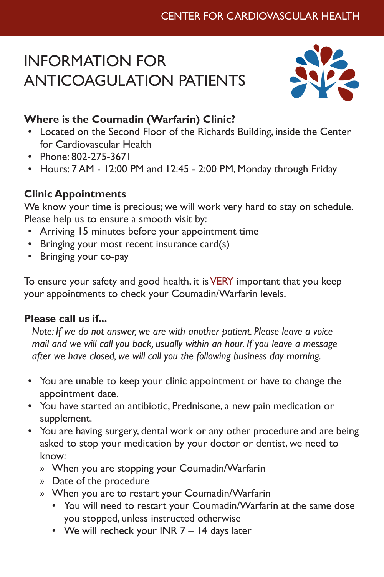# INFORMATION FOR ANTICOAGULATION PATIENTS



# **Where is the Coumadin (Warfarin) Clinic?**

- Located on the Second Floor of the Richards Building, inside the Center for Cardiovascular Health
- Phone: 802-275-3671
- Hours: 7 AM 12:00 PM and 12:45 2:00 PM, Monday through Friday

## **Clinic Appointments**

We know your time is precious; we will work very hard to stay on schedule. Please help us to ensure a smooth visit by:

- Arriving 15 minutes before your appointment time
- Bringing your most recent insurance card(s)
- Bringing your co-pay

To ensure your safety and good health, it is VERY important that you keep your appointments to check your Coumadin/Warfarin levels.

#### **Please call us if...**

*Note: If we do not answer, we are with another patient. Please leave a voice mail and we will call you back, usually within an hour. If you leave a message after we have closed, we will call you the following business day morning.*

- You are unable to keep your clinic appointment or have to change the appointment date.
- You have started an antibiotic, Prednisone, a new pain medication or supplement.
- You are having surgery, dental work or any other procedure and are being asked to stop your medication by your doctor or dentist, we need to know:
	- » When you are stopping your Coumadin/Warfarin
	- » Date of the procedure
	- » When you are to restart your Coumadin/Warfarin
		- You will need to restart your Coumadin/Warfarin at the same dose you stopped, unless instructed otherwise
		- We will recheck your INR 7 14 days later